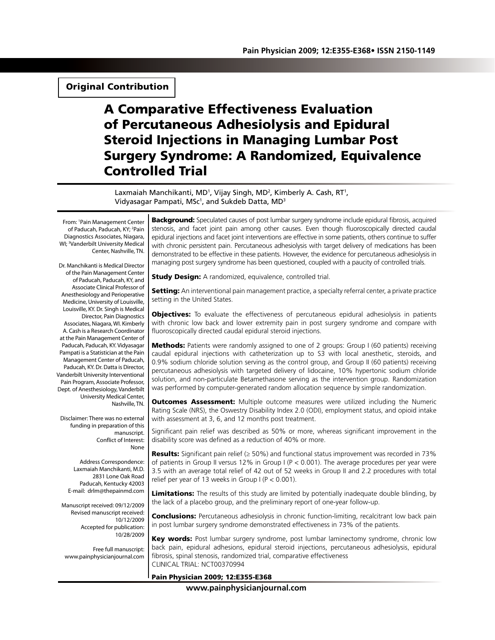## Original Contribution

# A Comparative Effectiveness Evaluation of Percutaneous Adhesiolysis and Epidural Steroid Injections in Managing Lumbar Post Surgery Syndrome: A Randomized, Equivalence Controlled Trial

Laxmaiah Manchikanti, MD<sup>1</sup>, Vijay Singh, MD<sup>2</sup>, Kimberly A. Cash, RT<sup>1</sup>, Vidyasagar Pampati, MSc<sup>1</sup>, and Sukdeb Datta, MD<sup>3</sup>

From: 1 Pain Management Center of Paducah, Paducah, KY; <sup>2</sup>Pain Diagnostics Associates, Niagara, WI; 3 Vanderbilt University Medical Center, Nashville, TN.

Dr. Manchikanti is Medical Director of the Pain Management Center of Paducah, Paducah, KY, and Associate Clinical Professor of Anesthesiology and Perioperative Medicine, University of Louisville, Louisville, KY. Dr. Singh is Medical Director, Pain Diagnostics Associates, Niagara, WI. Kimberly A. Cash is a Research Coordinator at the Pain Management Center of Paducah, Paducah, KY. Vidyasagar Pampati is a Statistician at the Pain Management Center of Paducah, Paducah, KY. Dr. Datta is Director, Vanderbilt University Interventional Pain Program, Associate Professor, Dept. of Anesthesiology, Vanderbilt University Medical Center, Nashville, TN.

Disclaimer: There was no external funding in preparation of this manuscript. Conflict of Interest: None

Address Correspondence: Laxmaiah Manchikanti, M.D. 2831 Lone Oak Road Paducah, Kentucky 42003 E-mail: drlm@thepainmd.com

Manuscript received: 09/12/2009 Revised manuscript received: 10/12/2009 Accepted for publication: 10/28/2009

Free full manuscript: www.painphysicianjournal.com **Background:** Speculated causes of post lumbar surgery syndrome include epidural fibrosis, acquired stenosis, and facet joint pain among other causes. Even though fluoroscopically directed caudal epidural injections and facet joint interventions are effective in some patients, others continue to suffer with chronic persistent pain. Percutaneous adhesiolysis with target delivery of medications has been demonstrated to be effective in these patients. However, the evidence for percutaneous adhesiolysis in managing post surgery syndrome has been questioned, coupled with a paucity of controlled trials.

**Study Design:** A randomized, equivalence, controlled trial.

Setting: An interventional pain management practice, a specialty referral center, a private practice setting in the United States.

**Objectives:** To evaluate the effectiveness of percutaneous epidural adhesiolysis in patients with chronic low back and lower extremity pain in post surgery syndrome and compare with fluoroscopically directed caudal epidural steroid injections.

**Methods:** Patients were randomly assigned to one of 2 groups: Group I (60 patients) receiving caudal epidural injections with catheterization up to S3 with local anesthetic, steroids, and 0.9% sodium chloride solution serving as the control group, and Group II (60 patients) receiving percutaneous adhesiolysis with targeted delivery of lidocaine, 10% hypertonic sodium chloride solution, and non-particulate Betamethasone serving as the intervention group. Randomization was performed by computer-generated random allocation sequence by simple randomization.

**Outcomes Assessment:** Multiple outcome measures were utilized including the Numeric Rating Scale (NRS), the Oswestry Disability Index 2.0 (ODI), employment status, and opioid intake with assessment at 3, 6, and 12 months post treatment.

Significant pain relief was described as 50% or more, whereas significant improvement in the disability score was defined as a reduction of 40% or more.

Results: Significant pain relief  $(≥ 50%)$  and functional status improvement was recorded in 73% of patients in Group II versus 12% in Group I (P < 0.001). The average procedures per year were 3.5 with an average total relief of 42 out of 52 weeks in Group II and 2.2 procedures with total relief per year of 13 weeks in Group  $I (P < 0.001)$ .

Limitations: The results of this study are limited by potentially inadequate double blinding, by the lack of a placebo group, and the preliminary report of one-year follow-up.

**Conclusions:** Percutaneous adhesiolysis in chronic function-limiting, recalcitrant low back pain in post lumbar surgery syndrome demonstrated effectiveness in 73% of the patients.

Key words: Post lumbar surgery syndrome, post lumbar laminectomy syndrome, chronic low back pain, epidural adhesions, epidural steroid injections, percutaneous adhesiolysis, epidural fibrosis, spinal stenosis, randomized trial, comparative effectiveness CLINICAL TRIAL: NCT00370994

#### Pain Physician 2009; 12:E355-E368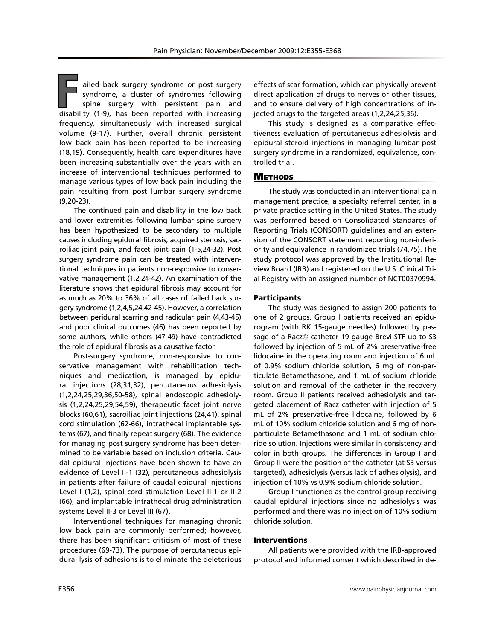ailed back surgery syndrome or post surgery syndrome, a cluster of syndromes following spine surgery with persistent pain and disability (1-9), has been reported with increasing frequency, simultaneously with increased surgical volume (9-17). Further, overall chronic persistent low back pain has been reported to be increasing (18,19). Consequently, health care expenditures have been increasing substantially over the years with an increase of interventional techniques performed to manage various types of low back pain including the pain resulting from post lumbar surgery syndrome (9,20-23).

The continued pain and disability in the low back and lower extremities following lumbar spine surgery has been hypothesized to be secondary to multiple causes including epidural fibrosis, acquired stenosis, sacroiliac joint pain, and facet joint pain (1-5,24-32). Post surgery syndrome pain can be treated with interventional techniques in patients non-responsive to conservative management (1,2,24-42). An examination of the literature shows that epidural fibrosis may account for as much as 20% to 36% of all cases of failed back surgery syndrome (1,2,4,5,24,42-45). However, a correlation between peridural scarring and radicular pain (4,43-45) and poor clinical outcomes (46) has been reported by some authors, while others (47-49) have contradicted the role of epidural fibrosis as a causative factor.

Post-surgery syndrome, non-responsive to conservative management with rehabilitation techniques and medication, is managed by epidural injections (28,31,32), percutaneous adhesiolysis (1,2,24,25,29,36,50-58), spinal endoscopic adhesiolysis (1,2,24,25,29,54,59), therapeutic facet joint nerve blocks (60,61), sacroiliac joint injections (24,41), spinal cord stimulation (62-66), intrathecal implantable systems (67), and finally repeat surgery (68). The evidence for managing post surgery syndrome has been determined to be variable based on inclusion criteria. Caudal epidural injections have been shown to have an evidence of Level II-1 (32), percutaneous adhesiolysis in patients after failure of caudal epidural injections Level I (1,2), spinal cord stimulation Level II-1 or II-2 (66), and implantable intrathecal drug administration systems Level II-3 or Level III (67).

Interventional techniques for managing chronic low back pain are commonly performed; however, there has been significant criticism of most of these procedures (69-73). The purpose of percutaneous epidural lysis of adhesions is to eliminate the deleterious

effects of scar formation, which can physically prevent direct application of drugs to nerves or other tissues, and to ensure delivery of high concentrations of injected drugs to the targeted areas (1,2,24,25,36).

This study is designed as a comparative effectiveness evaluation of percutaneous adhesiolysis and epidural steroid injections in managing lumbar post surgery syndrome in a randomized, equivalence, controlled trial.

### **METHODS**

The study was conducted in an interventional pain management practice, a specialty referral center, in a private practice setting in the United States. The study was performed based on Consolidated Standards of Reporting Trials (CONSORT) guidelines and an extension of the CONSORT statement reporting non-inferiority and equivalence in randomized trials (74,75). The study protocol was approved by the Institutional Review Board (IRB) and registered on the U.S. Clinical Trial Registry with an assigned number of NCT00370994.

### Participants

The study was designed to assign 200 patients to one of 2 groups. Group I patients received an epidurogram (with RK 15-gauge needles) followed by passage of a Racz® catheter 19 gauge Brevi-STF up to S3 followed by injection of 5 mL of 2% preservative-free lidocaine in the operating room and injection of 6 mL of 0.9% sodium chloride solution, 6 mg of non-particulate Betamethasone, and 1 mL of sodium chloride solution and removal of the catheter in the recovery room. Group II patients received adhesiolysis and targeted placement of Racz catheter with injection of 5 mL of 2% preservative-free lidocaine, followed by 6 mL of 10% sodium chloride solution and 6 mg of nonparticulate Betamethasone and 1 mL of sodium chloride solution. Injections were similar in consistency and color in both groups. The differences in Group I and Group II were the position of the catheter (at S3 versus targeted), adhesiolysis (versus lack of adhesiolysis), and injection of 10% vs 0.9% sodium chloride solution.

Group I functioned as the control group receiving caudal epidural injections since no adhesiolysis was performed and there was no injection of 10% sodium chloride solution.

#### Interventions

All patients were provided with the IRB-approved protocol and informed consent which described in de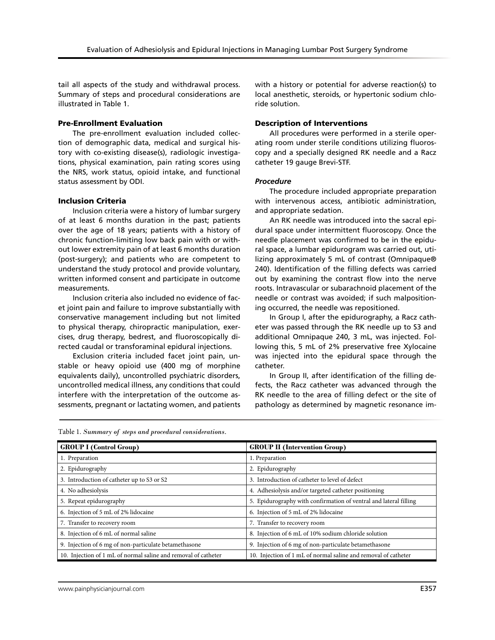tail all aspects of the study and withdrawal process. Summary of steps and procedural considerations are illustrated in Table 1.

#### Pre-Enrollment Evaluation

The pre-enrollment evaluation included collection of demographic data, medical and surgical history with co-existing disease(s), radiologic investigations, physical examination, pain rating scores using the NRS, work status, opioid intake, and functional status assessment by ODI.

#### Inclusion Criteria

Inclusion criteria were a history of lumbar surgery of at least 6 months duration in the past; patients over the age of 18 years; patients with a history of chronic function-limiting low back pain with or without lower extremity pain of at least 6 months duration (post-surgery); and patients who are competent to understand the study protocol and provide voluntary, written informed consent and participate in outcome measurements.

Inclusion criteria also included no evidence of facet joint pain and failure to improve substantially with conservative management including but not limited to physical therapy, chiropractic manipulation, exercises, drug therapy, bedrest, and fluoroscopically directed caudal or transforaminal epidural injections.

Exclusion criteria included facet joint pain, unstable or heavy opioid use (400 mg of morphine equivalents daily), uncontrolled psychiatric disorders, uncontrolled medical illness, any conditions that could interfere with the interpretation of the outcome assessments, pregnant or lactating women, and patients with a history or potential for adverse reaction(s) to local anesthetic, steroids, or hypertonic sodium chloride solution.

#### Description of Interventions

All procedures were performed in a sterile operating room under sterile conditions utilizing fluoroscopy and a specially designed RK needle and a Racz catheter 19 gauge Brevi-STF.

#### *Procedure*

The procedure included appropriate preparation with intervenous access, antibiotic administration, and appropriate sedation.

An RK needle was introduced into the sacral epidural space under intermittent fluoroscopy. Once the needle placement was confirmed to be in the epidural space, a lumbar epidurogram was carried out, utilizing approximately 5 mL of contrast (Omnipaque® 240). Identification of the filling defects was carried out by examining the contrast flow into the nerve roots. Intravascular or subarachnoid placement of the needle or contrast was avoided; if such malpositioning occurred, the needle was repositioned.

In Group I, after the epidurography, a Racz catheter was passed through the RK needle up to S3 and additional Omnipaque 240, 3 mL, was injected. Following this, 5 mL of 2% preservative free Xylocaine was injected into the epidural space through the catheter.

In Group II, after identification of the filling defects, the Racz catheter was advanced through the RK needle to the area of filling defect or the site of pathology as determined by magnetic resonance im-

| Table 1. Summary of steps and procedural considerations. |  |  |
|----------------------------------------------------------|--|--|
|                                                          |  |  |

| <b>GROUP I (Control Group)</b>                                 | <b>GROUP II</b> (Intervention Group)                              |
|----------------------------------------------------------------|-------------------------------------------------------------------|
| 1. Preparation                                                 | 1. Preparation                                                    |
| 2. Epidurography                                               | 2. Epidurography                                                  |
| 3. Introduction of catheter up to S3 or S2                     | 3. Introduction of catheter to level of defect                    |
| 4. No adhesiolysis                                             | 4. Adhesiolysis and/or targeted catheter positioning              |
| 5. Repeat epidurography                                        | 5. Epidurography with confirmation of ventral and lateral filling |
| 6. Injection of 5 mL of 2% lidocaine                           | 6. Injection of 5 mL of 2% lidocaine                              |
| 7. Transfer to recovery room                                   | 7. Transfer to recovery room                                      |
| 8. Injection of 6 mL of normal saline                          | 8. Injection of 6 mL of 10% sodium chloride solution              |
| 9. Injection of 6 mg of non-particulate betamethasone          | 9. Injection of 6 mg of non-particulate betamethasone             |
| 10. Injection of 1 mL of normal saline and removal of catheter | 10. Injection of 1 mL of normal saline and removal of catheter    |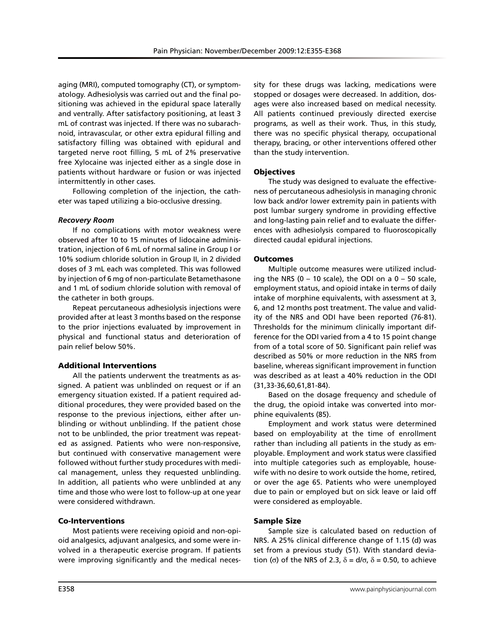aging (MRI), computed tomography (CT), or symptomatology. Adhesiolysis was carried out and the final positioning was achieved in the epidural space laterally and ventrally. After satisfactory positioning, at least 3 mL of contrast was injected. If there was no subarachnoid, intravascular, or other extra epidural filling and satisfactory filling was obtained with epidural and targeted nerve root filling, 5 mL of 2% preservative free Xylocaine was injected either as a single dose in patients without hardware or fusion or was injected intermittently in other cases.

Following completion of the injection, the catheter was taped utilizing a bio-occlusive dressing.

## *Recovery Room*

If no complications with motor weakness were observed after 10 to 15 minutes of lidocaine administration, injection of 6 mL of normal saline in Group I or 10% sodium chloride solution in Group II, in 2 divided doses of 3 mL each was completed. This was followed by injection of 6 mg of non-particulate Betamethasone and 1 mL of sodium chloride solution with removal of the catheter in both groups.

Repeat percutaneous adhesiolysis injections were provided after at least 3 months based on the response to the prior injections evaluated by improvement in physical and functional status and deterioration of pain relief below 50%.

## Additional Interventions

All the patients underwent the treatments as assigned. A patient was unblinded on request or if an emergency situation existed. If a patient required additional procedures, they were provided based on the response to the previous injections, either after unblinding or without unblinding. If the patient chose not to be unblinded, the prior treatment was repeated as assigned. Patients who were non-responsive, but continued with conservative management were followed without further study procedures with medical management, unless they requested unblinding. In addition, all patients who were unblinded at any time and those who were lost to follow-up at one year were considered withdrawn.

## Co-Interventions

Most patients were receiving opioid and non-opioid analgesics, adjuvant analgesics, and some were involved in a therapeutic exercise program. If patients were improving significantly and the medical necessity for these drugs was lacking, medications were stopped or dosages were decreased. In addition, dosages were also increased based on medical necessity. All patients continued previously directed exercise programs, as well as their work. Thus, in this study, there was no specific physical therapy, occupational therapy, bracing, or other interventions offered other than the study intervention.

## **Objectives**

The study was designed to evaluate the effectiveness of percutaneous adhesiolysis in managing chronic low back and/or lower extremity pain in patients with post lumbar surgery syndrome in providing effective and long-lasting pain relief and to evaluate the differences with adhesiolysis compared to fluoroscopically directed caudal epidural injections.

## **Outcomes**

Multiple outcome measures were utilized including the NRS (0 - 10 scale), the ODI on a  $0 - 50$  scale, employment status, and opioid intake in terms of daily intake of morphine equivalents, with assessment at 3, 6, and 12 months post treatment. The value and validity of the NRS and ODI have been reported (76-81). Thresholds for the minimum clinically important difference for the ODI varied from a 4 to 15 point change from of a total score of 50. Significant pain relief was described as 50% or more reduction in the NRS from baseline, whereas significant improvement in function was described as at least a 40% reduction in the ODI (31,33-36,60,61,81-84).

Based on the dosage frequency and schedule of the drug, the opioid intake was converted into morphine equivalents (85).

Employment and work status were determined based on employability at the time of enrollment rather than including all patients in the study as employable. Employment and work status were classified into multiple categories such as employable, housewife with no desire to work outside the home, retired, or over the age 65. Patients who were unemployed due to pain or employed but on sick leave or laid off were considered as employable.

## Sample Size

Sample size is calculated based on reduction of NRS. A 25% clinical difference change of 1.15 (d) was set from a previous study (51). With standard deviation (σ) of the NRS of 2.3,  $\delta = d/\sigma$ ,  $\delta = 0.50$ , to achieve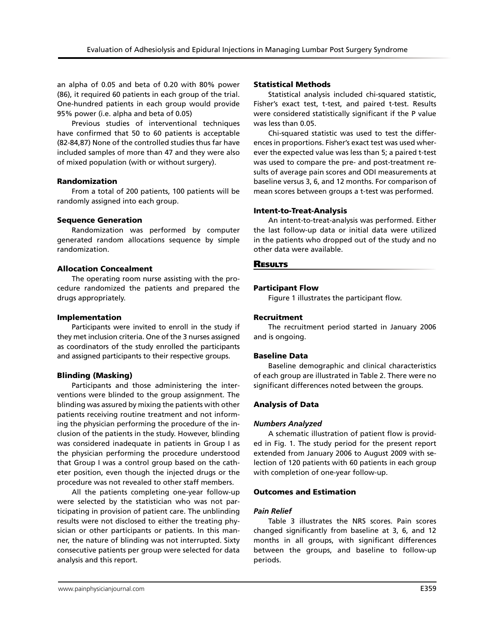an alpha of 0.05 and beta of 0.20 with 80% power (86), it required 60 patients in each group of the trial. One-hundred patients in each group would provide 95% power (i.e. alpha and beta of 0.05)

Previous studies of interventional techniques have confirmed that 50 to 60 patients is acceptable (82-84,87) None of the controlled studies thus far have included samples of more than 47 and they were also of mixed population (with or without surgery).

#### Randomization

From a total of 200 patients, 100 patients will be randomly assigned into each group.

#### Sequence Generation

Randomization was performed by computer generated random allocations sequence by simple randomization.

#### Allocation Concealment

The operating room nurse assisting with the procedure randomized the patients and prepared the drugs appropriately.

#### Implementation

Participants were invited to enroll in the study if they met inclusion criteria. One of the 3 nurses assigned as coordinators of the study enrolled the participants and assigned participants to their respective groups.

### Blinding (Masking)

Participants and those administering the interventions were blinded to the group assignment. The blinding was assured by mixing the patients with other patients receiving routine treatment and not informing the physician performing the procedure of the inclusion of the patients in the study. However, blinding was considered inadequate in patients in Group I as the physician performing the procedure understood that Group I was a control group based on the catheter position, even though the injected drugs or the procedure was not revealed to other staff members.

All the patients completing one-year follow-up were selected by the statistician who was not participating in provision of patient care. The unblinding results were not disclosed to either the treating physician or other participants or patients. In this manner, the nature of blinding was not interrupted. Sixty consecutive patients per group were selected for data analysis and this report.

#### Statistical Methods

Statistical analysis included chi-squared statistic, Fisher's exact test, t-test, and paired t-test. Results were considered statistically significant if the P value was less than 0.05.

Chi-squared statistic was used to test the differences in proportions. Fisher's exact test was used wherever the expected value was less than 5; a paired t-test was used to compare the pre- and post-treatment results of average pain scores and ODI measurements at baseline versus 3, 6, and 12 months. For comparison of mean scores between groups a t-test was performed.

#### Intent-to-Treat-Analysis

An intent-to-treat-analysis was performed. Either the last follow-up data or initial data were utilized in the patients who dropped out of the study and no other data were available.

#### **RESULTS**

#### Participant Flow

Figure 1 illustrates the participant flow.

#### Recruitment

The recruitment period started in January 2006 and is ongoing.

#### Baseline Data

Baseline demographic and clinical characteristics of each group are illustrated in Table 2. There were no significant differences noted between the groups.

### Analysis of Data

#### *Numbers Analyzed*

A schematic illustration of patient flow is provided in Fig. 1. The study period for the present report extended from January 2006 to August 2009 with selection of 120 patients with 60 patients in each group with completion of one-year follow-up.

#### Outcomes and Estimation

#### *Pain Relief*

Table 3 illustrates the NRS scores. Pain scores changed significantly from baseline at 3, 6, and 12 months in all groups, with significant differences between the groups, and baseline to follow-up periods.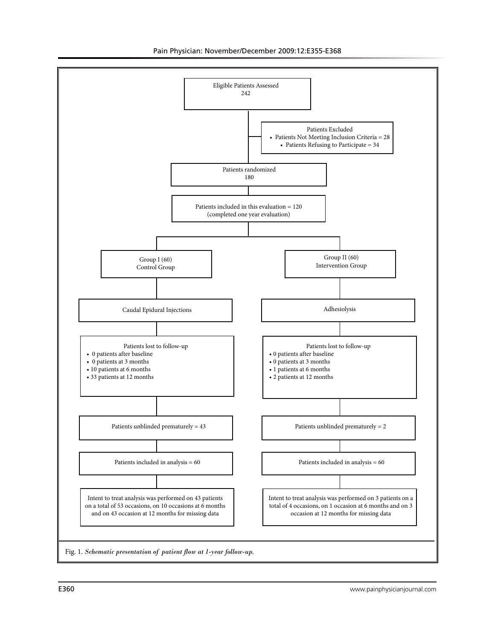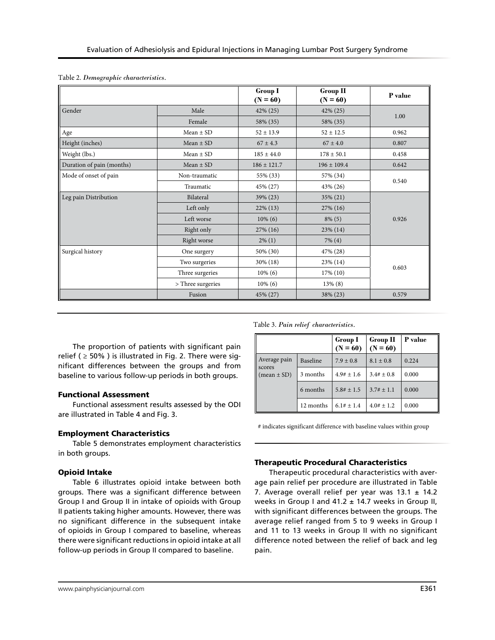|                           |                   | <b>Group I</b><br>$(N = 60)$ | Group II<br>$(N = 60)$ | P value |  |
|---------------------------|-------------------|------------------------------|------------------------|---------|--|
| Gender                    | Male              | 42% (25)                     | $42\%$ (25)            | 1.00    |  |
|                           | Female            | 58% (35)                     | 58% (35)               |         |  |
| Age                       | Mean $\pm$ SD     | $52 \pm 13.9$                | $52 \pm 12.5$          | 0.962   |  |
| Height (inches)           | Mean $\pm$ SD     | $67 \pm 4.3$                 | $67 \pm 4.0$           | 0.807   |  |
| Weight (lbs.)             | Mean $\pm$ SD     | $185 \pm 44.0$               | $178 \pm 50.1$         | 0.458   |  |
| Duration of pain (months) | Mean $\pm$ SD     | $186 \pm 121.7$              | $196 \pm 109.4$        | 0.642   |  |
| Mode of onset of pain     | Non-traumatic     | 55% (33)                     | 57% (34)               |         |  |
|                           | Traumatic         | 45% (27)                     | 43% (26)               | 0.540   |  |
| Leg pain Distribution     | Bilateral         | 39% (23)                     | 35% (21)               |         |  |
|                           | Left only         | $22\%$ (13)                  | $27\%$ (16)            |         |  |
|                           | Left worse        | $10\%$ (6)                   | $8\%$ (5)              | 0.926   |  |
|                           | Right only        | $27\%$ (16)                  | 23% (14)               |         |  |
|                           | Right worse       | $2\%$ (1)                    | $7\%$ (4)              |         |  |
| Surgical history          | One surgery       | 50% (30)                     | 47% (28)               |         |  |
|                           | Two surgeries     | 30% (18)                     | 23% (14)               |         |  |
|                           | Three surgeries   | $10\%$ (6)                   | 17% (10)               | 0.603   |  |
|                           | > Three surgeries | $10\%$ (6)                   | $13\%$ (8)             |         |  |
|                           | Fusion            | 45% (27)                     | 38% (23)               | 0.579   |  |

The proportion of patients with significant pain relief ( $\geq$  50%) is illustrated in Fig. 2. There were significant differences between the groups and from baseline to various follow-up periods in both groups.

### Functional Assessment

Functional assessment results assessed by the ODI are illustrated in Table 4 and Fig. 3.

## Employment Characteristics

Table 5 demonstrates employment characteristics in both groups.

## Opioid Intake

Table 6 illustrates opioid intake between both groups. There was a significant difference between Group I and Group II in intake of opioids with Group II patients taking higher amounts. However, there was no significant difference in the subsequent intake of opioids in Group I compared to baseline, whereas there were significant reductions in opioid intake at all follow-up periods in Group II compared to baseline.

### Table 3. *Pain relief characteristics.*

|                        |                 | <b>Group I</b><br>$(N = 60)$ | <b>Group II</b><br>$(N = 60)$ | P value |
|------------------------|-----------------|------------------------------|-------------------------------|---------|
| Average pain<br>scores | <b>Baseline</b> | $7.9 \pm 0.8$                | $8.1 \pm 0.8$                 | 0.224   |
| $(mean \pm SD)$        | 3 months        | $4.9# \pm 1.6$               | $3.4# \pm 0.8$                | 0.000   |
|                        | 6 months        | $5.8# \pm 1.5$               | $3.7# \pm 1.1$                | 0.000   |
|                        | 12 months       | $6.1# \pm 1.4$               | $4.0# + 1.2$                  | 0.000   |

# indicates significant difference with baseline values within group

## Therapeutic Procedural Characteristics

Therapeutic procedural characteristics with average pain relief per procedure are illustrated in Table 7. Average overall relief per year was  $13.1 \pm 14.2$ weeks in Group I and  $41.2 \pm 14.7$  weeks in Group II, with significant differences between the groups. The average relief ranged from 5 to 9 weeks in Group I and 11 to 13 weeks in Group II with no significant difference noted between the relief of back and leg pain.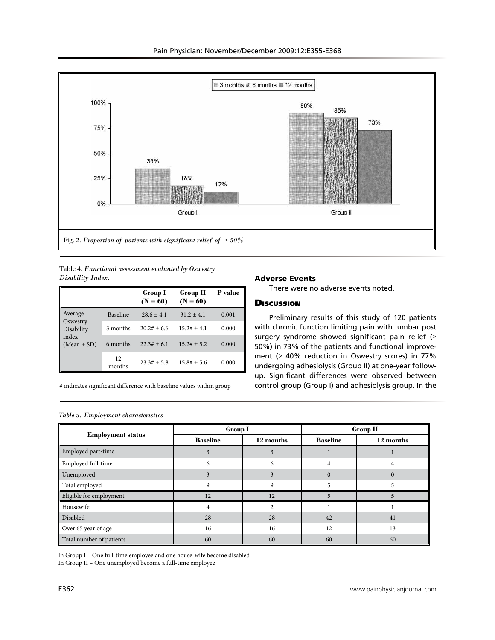

Table 4. *Functional assessment evaluated by Oswestry Disability Index.* 

|                            |              | <b>Group I</b><br>$(N = 60)$ | <b>Group II</b><br>$(N = 60)$ | P value |
|----------------------------|--------------|------------------------------|-------------------------------|---------|
| Average<br>Oswestry        | Baseline     | $28.6 \pm 4.1$               | $31.2 \pm 4.1$                | 0.001   |
| Disability                 | 3 months     | $20.2# + 6.6$                | $15.2# \pm 4.1$               | 0.000   |
| l Index<br>$(Mean \pm SD)$ | 6 months     | $22.3# \pm 6.1$              | $15.2# + 5.2$                 | 0.000   |
|                            | 12<br>months | $23.3# + 5.8$                | $15.8# \pm 5.6$               | 0.000   |

# indicates significant difference with baseline values within group

#### Adverse Events

There were no adverse events noted.

### **Discussion**

Preliminary results of this study of 120 patients with chronic function limiting pain with lumbar post surgery syndrome showed significant pain relief (≥ 50%) in 73% of the patients and functional improvement ( $\geq 40\%$  reduction in Oswestry scores) in 77% undergoing adhesiolysis (Group II) at one-year followup. Significant differences were observed between control group (Group I) and adhesiolysis group. In the

|  | Table 5. Employment characteristics |  |
|--|-------------------------------------|--|
|  |                                     |  |

|                          | <b>Group I</b>  |           | <b>Group II</b> |           |
|--------------------------|-----------------|-----------|-----------------|-----------|
| <b>Employment status</b> | <b>Baseline</b> | 12 months | <b>Baseline</b> | 12 months |
| Employed part-time       |                 |           |                 |           |
| Employed full-time       | O               | h         | 4               | 4         |
| Unemployed               |                 |           | $\Omega$        |           |
| Total employed           |                 |           |                 |           |
| Eligible for employment  | 12              | 12        | 5               | ∍         |
| Housewife                |                 |           |                 |           |
| Disabled                 | 28              | 28        | 42              | 41        |
| Over 65 year of age      | 16              | 16        | 12              | 13        |
| Total number of patients | 60              | 60        | 60              | 60        |

In Group I – One full-time employee and one house-wife become disabled In Group II – One unemployed become a full-time employee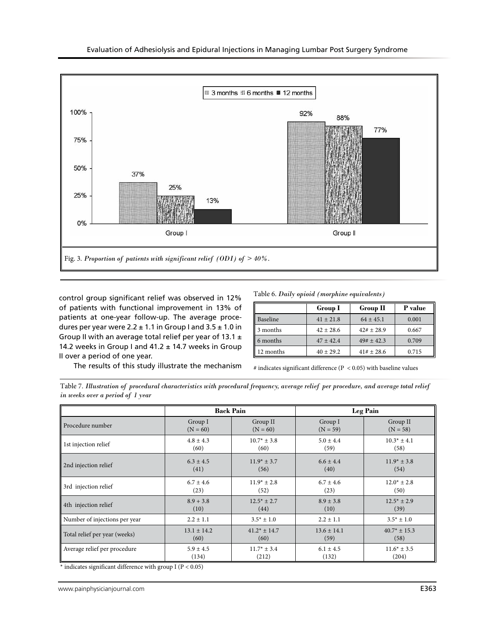

control group significant relief was observed in 12% of patients with functional improvement in 13% of patients at one-year follow-up. The average procedures per year were  $2.2 \pm 1.1$  in Group I and  $3.5 \pm 1.0$  in Group II with an average total relief per year of 13.1  $\pm$ 14.2 weeks in Group I and  $41.2 \pm 14.7$  weeks in Group II over a period of one year.

The results of this study illustrate the mechanism

Table 6. *Daily opioid (morphine equivalents)*

|           | <b>Group I</b> | $Group$ $\Pi$  | P value |
|-----------|----------------|----------------|---------|
| Baseline  | $41 + 21.8$    | $64 \pm 45.1$  | 0.001   |
| 3 months  | $42 \pm 28.6$  | $42# \pm 28.9$ | 0.667   |
| 6 months  | $47 + 42.4$    | $49# + 42.3$   | 0.709   |
| 12 months | $40 + 29.2$    | $41# \pm 28.6$ | 0.715   |

 $\#$  indicates significant difference (P  $< 0.05)$  with baseline values

Table 7. *Illustration of procedural characteristics with procedural frequency, average relief per procedure, and average total relief in weeks over a period of 1 year*

|                               | <b>Back Pain</b> |                  | Leg Pain        |                  |
|-------------------------------|------------------|------------------|-----------------|------------------|
| Procedure number              | Group I          | Group II         | Group I         | Group II         |
|                               | $(N = 60)$       | $(N = 60)$       | $(N = 59)$      | $(N = 58)$       |
| 1st injection relief          | $4.8 \pm 4.3$    | $10.7* \pm 3.8$  | $5.0 \pm 4.4$   | $10.3* \pm 4.1$  |
|                               | (60)             | (60)             | (59)            | (58)             |
| 2nd injection relief          | $6.3 \pm 4.5$    | $11.9* \pm 3.7$  | $6.6 \pm 4.4$   | $11.9* \pm 3.8$  |
|                               | (41)             | (56)             | (40)            | (54)             |
| 3rd injection relief          | $6.7 \pm 4.6$    | $11.9* \pm 2.8$  | $6.7 \pm 4.6$   | $12.0^* \pm 2.8$ |
|                               | (23)             | (52)             | (23)            | (50)             |
| 4th injection relief          | $8.9 + 3.8$      | $12.5* \pm 2.7$  | $8.9 \pm 3.8$   | $12.5* + 2.9$    |
|                               | (10)             | (44)             | (10)            | (39)             |
| Number of injections per year | $2.2 \pm 1.1$    | $3.5^* \pm 1.0$  | $2.2 \pm 1.1$   | $3.5* \pm 1.0$   |
| Total relief per year (weeks) | $13.1 \pm 14.2$  | $41.2* \pm 14.7$ | $13.6 \pm 14.1$ | $40.7* \pm 15.3$ |
|                               | (60)             | (60)             | (59)            | (58)             |
| Average relief per procedure  | $5.9 \pm 4.5$    | $11.7* \pm 3.4$  | $6.1 \pm 4.5$   | $11.6* \pm 3.5$  |
|                               | (134)            | (212)            | (132)           | (204)            |

 $^*$  indicates significant difference with group I (P  $< 0.05$ )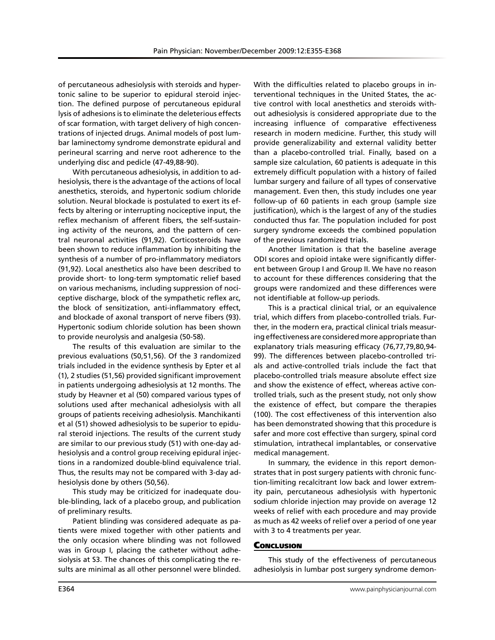of percutaneous adhesiolysis with steroids and hypertonic saline to be superior to epidural steroid injection. The defined purpose of percutaneous epidural lysis of adhesions is to eliminate the deleterious effects of scar formation, with target delivery of high concentrations of injected drugs. Animal models of post lumbar laminectomy syndrome demonstrate epidural and perineural scarring and nerve root adherence to the underlying disc and pedicle (47-49,88-90).

With percutaneous adhesiolysis, in addition to adhesiolysis, there is the advantage of the actions of local anesthetics, steroids, and hypertonic sodium chloride solution. Neural blockade is postulated to exert its effects by altering or interrupting nociceptive input, the reflex mechanism of afferent fibers, the self-sustaining activity of the neurons, and the pattern of central neuronal activities (91,92). Corticosteroids have been shown to reduce inflammation by inhibiting the synthesis of a number of pro-inflammatory mediators (91,92). Local anesthetics also have been described to provide short- to long-term symptomatic relief based on various mechanisms, including suppression of nociceptive discharge, block of the sympathetic reflex arc, the block of sensitization, anti-inflammatory effect, and blockade of axonal transport of nerve fibers (93). Hypertonic sodium chloride solution has been shown to provide neurolysis and analgesia (50-58).

The results of this evaluation are similar to the previous evaluations (50,51,56). Of the 3 randomized trials included in the evidence synthesis by Epter et al (1), 2 studies (51,56) provided significant improvement in patients undergoing adhesiolysis at 12 months. The study by Heavner et al (50) compared various types of solutions used after mechanical adhesiolysis with all groups of patients receiving adhesiolysis. Manchikanti et al (51) showed adhesiolysis to be superior to epidural steroid injections. The results of the current study are similar to our previous study (51) with one-day adhesiolysis and a control group receiving epidural injections in a randomized double-blind equivalence trial. Thus, the results may not be compared with 3-day adhesiolysis done by others (50,56).

This study may be criticized for inadequate double-blinding, lack of a placebo group, and publication of preliminary results.

Patient blinding was considered adequate as patients were mixed together with other patients and the only occasion where blinding was not followed was in Group I, placing the catheter without adhesiolysis at S3. The chances of this complicating the results are minimal as all other personnel were blinded.

With the difficulties related to placebo groups in interventional techniques in the United States, the active control with local anesthetics and steroids without adhesiolysis is considered appropriate due to the increasing influence of comparative effectiveness research in modern medicine. Further, this study will provide generalizability and external validity better than a placebo-controlled trial. Finally, based on a sample size calculation, 60 patients is adequate in this extremely difficult population with a history of failed lumbar surgery and failure of all types of conservative management. Even then, this study includes one year follow-up of 60 patients in each group (sample size justification), which is the largest of any of the studies conducted thus far. The population included for post surgery syndrome exceeds the combined population of the previous randomized trials.

Another limitation is that the baseline average ODI scores and opioid intake were significantly different between Group I and Group II. We have no reason to account for these differences considering that the groups were randomized and these differences were not identifiable at follow-up periods.

This is a practical clinical trial, or an equivalence trial, which differs from placebo-controlled trials. Further, in the modern era, practical clinical trials measuring effectiveness are considered more appropriate than explanatory trials measuring efficacy (76,77,79,80,94- 99). The differences between placebo-controlled trials and active-controlled trials include the fact that placebo-controlled trials measure absolute effect size and show the existence of effect, whereas active controlled trials, such as the present study, not only show the existence of effect, but compare the therapies (100). The cost effectiveness of this intervention also has been demonstrated showing that this procedure is safer and more cost effective than surgery, spinal cord stimulation, intrathecal implantables, or conservative medical management.

In summary, the evidence in this report demonstrates that in post surgery patients with chronic function-limiting recalcitrant low back and lower extremity pain, percutaneous adhesiolysis with hypertonic sodium chloride injection may provide on average 12 weeks of relief with each procedure and may provide as much as 42 weeks of relief over a period of one year with 3 to 4 treatments per year.

#### **Conclusion**

This study of the effectiveness of percutaneous adhesiolysis in lumbar post surgery syndrome demon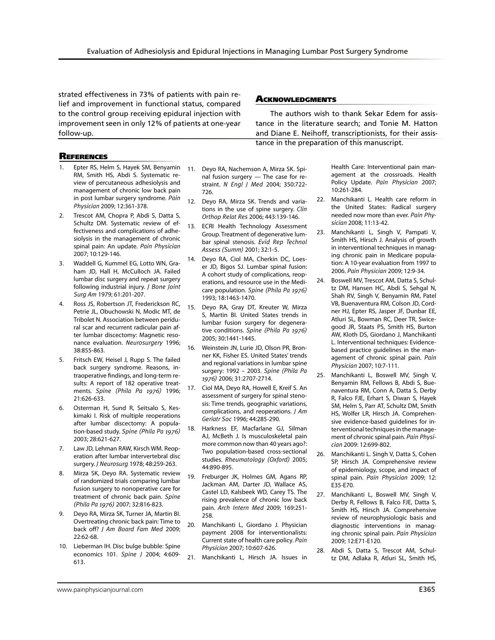strated effectiveness in 73% of patients with pain relief and improvement in functional status, compared to the control group receiving epidural injection with improvement seen in only 12% of patients at one-year follow-up.

#### **ACKNOWLEDGMENTS**

The authors wish to thank Sekar Edem for assistance in the literature search; and Tonie M. Hatton and Diane E. Neihoff, transcriptionists, for their assistance in the preparation of this manuscript.

## **REFERENCES**

- 1. Epter RS, Helm S, Hayek SM, Benyamin RM, Smith HS, Abdi S. Systematic review of percutaneous adhesiolysis and management of chronic low back pain in post lumbar surgery syndrome. *Pain Physician* 2009; 12:361-378.
- Trescot AM, Chopra P, Abdi S, Datta S, Schultz DM. Systematic review of effectiveness and complications of adhesiolysis in the management of chronic spinal pain: An update. *Pain Physician* 2007; 10:129-146.
- 3. Waddell G, Kummel EG, Lotto WN, Graham JD, Hall H, McCulloch JA. Failed lumbar disc surgery and repeat surgery following industrial injury. *J Bone Joint Surg Am* 1979; 61:201-207.
- Ross JS, Robertson JT, Frederickson RC, Petrie JL, Obuchowski N, Modic MT, de Tribolet N. Association between peridural scar and recurrent radicular pain after lumbar discectomy: Magnetic resonance evaluation. *Neurosurgery* 1996; 38:855-863.
- 5. Fritsch EW, Heisel J, Rupp S. The failed back surgery syndrome. Reasons, intraoperative findings, and long-term results: A report of 182 operative treatments. *Spine (Phila Pa 1976)* 1996; 21:626-633.
- 6. Osterman H, Sund R, Seitsalo S, Keskimaki I. Risk of multiple reoperations after lumbar discectomy: A population-based study. *Spine (Phila Pa 1976)*  2003; 28:621-627.
- 7. Law JD, Lehman RAW, Kirsch WM. Reoperation after lumbar intervertebral disc surgery. *J Neurosurg* 1978; 48:259-263.
- 8. Mirza SK, Deyo RA. Systematic review of randomized trials comparing lumbar fusion surgery to nonoperative care for treatment of chronic back pain. *Spine (Phila Pa 1976)* 2007; 32:816-823.
- 9. Deyo RA, Mirza SK, Turner JA, Martin BI. Overtreating chronic back pain: Time to back off? *J Am Board Fam Med* 2009; 22:62-68.
- 10. Lieberman IH. Disc bulge bubble: Spine economics 101. *Spine J* 2004; 4:609- 613.
- 11. Deyo RA, Nachemson A, Mirza SK. Spinal fusion surgery — The case for restraint. *N Engl J Med* 2004; 350:722- 726.
- 12. Deyo RA, Mirza SK. Trends and variations in the use of spine surgery. *Clin Orthop Relat Res* 2006; 443:139-146.
- 13. ECRI Health Technology Assessment Group. Treatment of degenerative lumbar spinal stenosis. *Evid Rep Technol Assess (Summ)* 2001; 32:1-5.
- 14. Deyo RA, Ciol MA, Cherkin DC, Loeser JD, Bigos SJ. Lumbar spinal fusion: A cohort study of complications, reoperations, and resource use in the Medicare population. *Spine (Phila Pa 1976)*  1993; 18:1463-1470.
- 15. Deyo RA, Gray DT, Kreuter W, Mirza S, Martin BI. United States trends in lumbar fusion surgery for degenerative conditions. *Spine (Phila Pa 1976)* 2005; 30:1441-1445.
- 16. Weinstein JN, Lurie JD, Olson PR, Bronner KK, Fisher ES. United States' trends and regional variations in lumbar spine surgery: 1992 – 2003. *Spine (Phila Pa 1976)* 2006; 31:2707-2714.
- 17. Ciol MA, Deyo RA, Howell E, Kreif S. An assessment of surgery for spinal stenosis: Time trends, geographic variations, complications, and reoperations. *J Am Geriatr Soc* 1996; 44:285-290.
- 18. Harkness EF, Macfarlane GJ, Silman AJ, McBeth J. Is musculoskeletal pain more common now than 40 years ago?: Two population-based cross-sectional studies. *Rheumatology (Oxford)* 2005; 44:890-895.
- 19. Freburger JK, Holmes GM, Agans RP, Jackman AM, Darter JD, Wallace AS, Castel LD, Kalsbeek WD, Carey TS. The rising prevalence of chronic low back pain. *Arch Intern Med* 2009; 169:251- 258.
- 20. Manchikanti L, Giordano J. Physician payment 2008 for interventionalists: Current state of health care policy. *Pain Physician* 2007; 10:607-626.
- 21. Manchikanti L, Hirsch JA. Issues in

Health Care: Interventional pain management at the crossroads. Health Policy Update. *Pain Physician* 2007; 10:261-284.

- 22. Manchikanti L. Health care reform in the United States: Radical surgery needed now more than ever. *Pain Physician* 2008; 11:13-42.
- 23. Manchikanti L, Singh V, Pampati V, Smith HS, Hirsch J. Analysis of growth in interventional techniques in managing chronic pain in Medicare population: A 10-year evaluation from 1997 to 2006. *Pain Physician* 2009; 12:9-34.
- 24. Boswell MV, Trescot AM, Datta S, Schultz DM, Hansen HC, Abdi S, Sehgal N, Shah RV, Singh V, Benyamin RM, Patel VB, Buenaventura RM, Colson JD, Cordner HJ, Epter RS, Jasper JF, Dunbar EE, Atluri SL, Bowman RC, Deer TR, Swicegood JR, Staats PS, Smith HS, Burton AW, Kloth DS, Giordano J, Manchikanti L. Interventional techniques: Evidencebased practice guidelines in the management of chronic spinal pain. *Pain Physician* 2007; 10:7-111.
- 25. Manchikanti L, Boswell MV, Singh V, Benyamin RM, Fellows B, Abdi S, Buenaventura RM, Conn A, Datta S, Derby R, Falco FJE, Erhart S, Diwan S, Hayek SM, Helm S, Parr AT, Schultz DM, Smith HS, Wolfer LR, Hirsch JA. Comprehensive evidence-based guidelines for interventional techniques in the management of chronic spinal pain. *Pain Physician* 2009: 12:699-802.
- 26. Manchikanti L. Singh V, Datta S, Cohen SP, Hirsch JA. Comprehensive review of epidemiology, scope, and impact of spinal pain. *Pain Physician* 2009; 12: E35-E70.
- 27. Manchikanti L, Boswell MV, Singh V, Derby R, Fellows B, Falco FJE, Datta S, Smith HS, Hirsch JA. Comprehensive review of neurophysiologic basis and diagnostic interventions in managing chronic spinal pain. *Pain Physician* 2009; 12:E71-E120.
- 28. Abdi S, Datta S, Trescot AM, Schultz DM, Adlaka R, Atluri SL, Smith HS,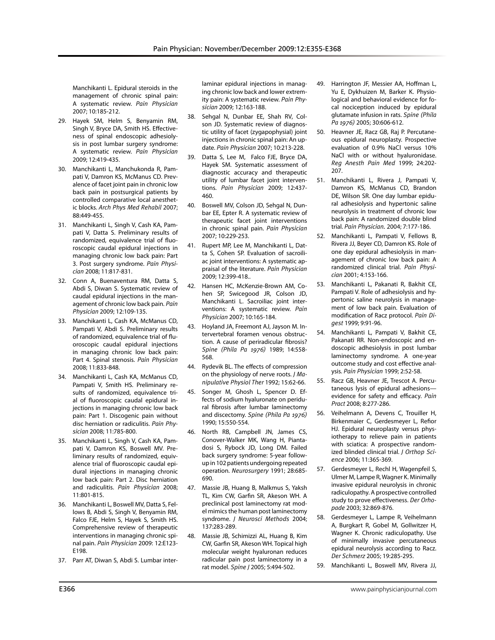Manchikanti L. Epidural steroids in the management of chronic spinal pain: A systematic review. *Pain Physician* 2007; 10:185-212.

- 29. Hayek SM, Helm S, Benyamin RM, Singh V, Bryce DA, Smith HS. Effectiveness of spinal endoscopic adhesiolysis in post lumbar surgery syndrome: A systematic review. *Pain Physician* 2009; 12:419-435.
- 30. Manchikanti L, Manchukonda R, Pampati V, Damron KS, McManus CD. Prevalence of facet joint pain in chronic low back pain in postsurgical patients by controlled comparative local anesthetic blocks. *Arch Phys Med Rehabil* 2007; 88:449-455.
- 31. Manchikanti L, Singh V, Cash KA, Pampati V, Datta S. Preliminary results of randomized, equivalence trial of fluoroscopic caudal epidural injections in managing chronic low back pain: Part 3. Post surgery syndrome. *Pain Physician* 2008; 11:817-831.
- 32. Conn A, Buenaventura RM, Datta S, Abdi S, Diwan S. Systematic review of caudal epidural injections in the management of chronic low back pain. *Pain Physician* 2009; 12:109-135.
- 33. Manchikanti L, Cash KA, McManus CD, Pampati V, Abdi S. Preliminary results of randomized, equivalence trial of fluoroscopic caudal epidural injections in managing chronic low back pain: Part 4. Spinal stenosis. *Pain Physician* 2008; 11:833-848.
- 34. Manchikanti L, Cash KA, McManus CD, Pampati V, Smith HS. Preliminary results of randomized, equivalence trial of fluoroscopic caudal epidural injections in managing chronic low back pain: Part 1. Discogenic pain without disc herniation or radiculitis. *Pain Physician* 2008; 11:785-800.
- 35. Manchikanti L, Singh V, Cash KA, Pampati V, Damron KS, Boswell MV. Preliminary results of randomized, equivalence trial of fluoroscopic caudal epidural injections in managing chronic low back pain: Part 2. Disc herniation and radiculitis. *Pain Physician* 2008; 11:801-815.
- 36. Manchikanti L, Boswell MV, Datta S, Fellows B, Abdi S, Singh V, Benyamin RM, Falco FJE, Helm S, Hayek S, Smith HS. Comprehensive review of therapeutic interventions in managing chronic spinal pain. *Pain Physician* 2009: 12:E123- E198.
- 37. Parr AT, Diwan S, Abdi S. Lumbar inter-

laminar epidural injections in managing chronic low back and lower extremity pain: A systematic review. *Pain Physician* 2009; 12:163-188.

- 38. Sehgal N, Dunbar EE, Shah RV, Colson JD. Systematic review of diagnostic utility of facet (zygapophysial) joint injections in chronic spinal pain: An update. *Pain Physician* 2007; 10:213-228.
- 39. Datta S, Lee M, Falco FJE, Bryce DA, Hayek SM. Systematic assessment of diagnostic accuracy and therapeutic utility of lumbar facet joint interventions. *Pain Physician* 2009; 12:437- 460.
- 40. Boswell MV, Colson JD, Sehgal N, Dunbar EE, Epter R. A systematic review of therapeutic facet joint interventions in chronic spinal pain. *Pain Physician* 2007; 10:229-253.
- 41. Rupert MP, Lee M, Manchikanti L, Datta S, Cohen SP. Evaluation of sacroiliac joint interventions: A systematic appraisal of the literature. *Pain Physician* 2009; 12:399-418..
- 42. Hansen HC, McKenzie-Brown AM, Cohen SP, Swicegood JR, Colson JD, Manchikanti L. Sacroiliac joint interventions: A systematic review. *Pain Physician* 2007; 10:165-184.
- 43. Hoyland JA, Freemont AJ, Jayson M. Intervertebral foramen venous obstruction. A cause of periradicular fibrosis? *Spine (Phila Pa 1976)* 1989; 14:558- 568.
- 44. Rydevik BL. The effects of compression on the physiology of nerve roots. *J Manipulative Physiol Ther* 1992; 15:62-66.
- 45. Songer M, Ghosh L, Spencer D. Effects of sodium hyaluronate on peridural fibrosis after lumbar laminectomy and discectomy. *Spine (Phila Pa 1976)*  1990; 15:550-554.
- 46. North RB, Campbell JN, James CS, Conover-Walker MK, Wang H, Piantadosi S, Rybock JD, Long DM. Failed back surgery syndrome: 5-year followup in 102 patients undergoing repeated operation. *Neurosurgery* 1991; 28:685- 690.
- 47. Massie JB, Huang B, Malkmus S, Yaksh TL, Kim CW, Garfin SR, Akeson WH. A preclinical post laminectomy rat model mimics the human post laminectomy syndrome. *J Neurosci Methods* 2004; 137:283-289.
- 48. Massie JR, Schimizzi AL, Huang B, Kim CW, Garfin SR, Akeson WH. Topical high molecular weight hyaluronan reduces radicular pain post laminectomy in a rat model. *Spine J* 2005; 5:494-502.
- 49. Harrington JF, Messier AA, Hoffman L, Yu E, Dykhuizen M, Barker K. Physiological and behavioral evidence for focal nociception induced by epidural glutamate infusion in rats. *Spine (Phila Pa 1976)* 2005; 30:606-612.
- 50. Heavner JE, Racz GB, Raj P. Percutaneous epidural neuroplasty. Prospective evaluation of 0.9% NaCl versus 10% NaCl with or without hyaluronidase. *Reg Anesth Pain Med* 1999; 24:202- 207.
- 51. Manchikanti L, Rivera J, Pampati V, Damron KS, McManus CD, Brandon DE, Wilson SR. One day lumbar epidural adhesiolysis and hypertonic saline neurolysis in treatment of chronic low back pain: A randomized double blind trial. *Pain Physician.* 2004; 7:177-186.
- 52. Manchikanti L, Pampati V, Fellows B, Rivera JJ, Beyer CD, Damron KS. Role of one day epidural adhesiolysis in management of chronic low back pain: A randomized clinical trial. *Pain Physician* 2001; 4:153-166.
- 53. Manchikanti L, Pakanati R, Bakhit CE, Pampati V. Role of adhesiolysis and hypertonic saline neurolysis in management of low back pain. Evaluation of modification of Racz protocol. *Pain Digest* 1999; 9:91-96.
- 54. Manchikanti L, Pampati V, Bakhit CE, Pakanati RR. Non-endoscopic and endoscopic adhesiolysis in post lumbar laminectomy syndrome. A one-year outcome study and cost effective analysis. *Pain Physician* 1999; 2:52-58.
- 55. Racz GB, Heavner JE, Trescot A. Percutaneous lysis of epidural adhesions evidence for safety and efficacy. *Pain Pract* 2008; 8:277-286.
- 56. Veihelmann A, Devens C, Trouiller H, Birkenmaier C, Gerdesmeyer L, Refior HJ. Epidural neuroplasty versus physiotherapy to relieve pain in patients with sciatica: A prospective randomized blinded clinical trial. *J Orthop Science* 2006; 11:365-369.
- 57. Gerdesmeyer L, Rechl H, Wagenpfeil S, Ulmer M, Lampe R, Wagner K. Minimally invasive epidural neurolysis in chronic radiculopathy. A prospective controlled study to prove effectiveness. *Der Orhopade* 2003; 32:869-876.
- 58. Gerdesmeyer L, Lampe R, Veihelmann A, Burgkart R, Gobel M, Gollwitzer H, Wagner K. Chronic radiculopathy. Use of minimally invasive percutaneous epidural neurolysis according to Racz. *Der Schmerz* 2005; 19:285-295.
- 59. Manchikanti L, Boswell MV, Rivera JJ,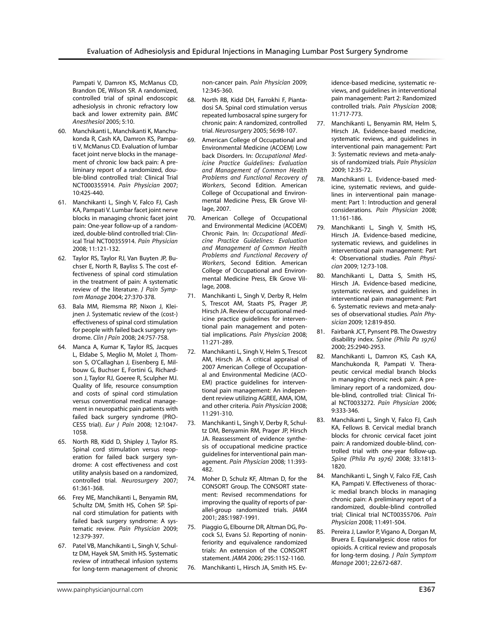Pampati V, Damron KS, McManus CD, Brandon DE, Wilson SR. A randomized, controlled trial of spinal endoscopic adhesiolysis in chronic refractory low back and lower extremity pain. *BMC Anesthesiol* 2005; 5:10.

- 60. Manchikanti L, Manchikanti K, Manchukonda R, Cash KA, Damron KS, Pampati V, McManus CD. Evaluation of lumbar facet joint nerve blocks in the management of chronic low back pain: A preliminary report of a randomized, double-blind controlled trial: Clinical Trial NCT000355914. *Pain Physician* 2007; 10:425-440.
- 61. Manchikanti L, Singh V, Falco FJ, Cash KA, Pampati V. Lumbar facet joint nerve blocks in managing chronic facet joint pain: One-year follow-up of a randomized, double-blind controlled trial: Clinical Trial NCT00355914. *Pain Physician*  2008; 11:121-132.
- 62. Taylor RS, Taylor RJ, Van Buyten JP, Buchser E, North R, Bayliss S. The cost effectiveness of spinal cord stimulation in the treatment of pain: A systematic review of the literature. *J Pain Symptom Manage* 2004; 27:370-378.
- 63. Bala MM, Riemsma RP, Nixon J, Kleijnen J. Systematic review of the (cost-) effectiveness of spinal cord stimulation for people with failed back surgery syndrome. *Clin J Pain* 2008; 24:757-758.
- 64. Manca A, Kumar K, Taylor RS, Jacques L, Eldabe S, Meglio M, Molet J, Thomson S, O'Callaghan J, Eisenberg E, Milbouw G, Buchser E, Fortini G, Richardson J, Taylor RJ, Goeree R, Sculpher MJ. Quality of life, resource consumption and costs of spinal cord stimulation versus conventional medical management in neuropathic pain patients with failed back surgery syndrome (PRO-CESS trial). *Eur J Pain* 2008; 12:1047- 1058.
- 65. North RB, Kidd D, Shipley J, Taylor RS. Spinal cord stimulation versus reoperation for failed back surgery syndrome: A cost effectiveness and cost utility analysis based on a randomized, controlled trial. *Neurosurgery* 2007; 61:361-368.
- 66. Frey ME, Manchikanti L, Benyamin RM, Schultz DM, Smith HS, Cohen SP. Spinal cord stimulation for patients with failed back surgery syndrome: A systematic review. *Pain Physician* 2009; 12:379-397.
- 67. Patel VB, Manchikanti L, Singh V, Schultz DM, Hayek SM, Smith HS. Systematic review of intrathecal infusion systems for long-term management of chronic

non-cancer pain. *Pain Physician* 2009; 12:345-360.

- 68. North RB, Kidd DH, Farrokhi F, Piantadosi SA. Spinal cord stimulation versus repeated lumbosacral spine surgery for chronic pain: A randomized, controlled trial. *Neurosurgery* 2005; 56:98-107.
- 69. American College of Occupational and Environmental Medicine (ACOEM) Low back Disorders. In: *Occupational Medicine Practice Guidelines: Evaluation and Management of Common Health Problems and Functional Recovery of Workers*, Second Edition. American College of Occupational and Environmental Medicine Press, Elk Grove Village, 2007.
- 70. American College of Occupational and Environmental Medicine (ACOEM) Chronic Pain. In: *Occupational Medicine Practice Guidelines: Evaluation and Management of Common Health Problems and Functional Recovery of Workers*, Second Edition. American College of Occupational and Environmental Medicine Press, Elk Grove Village, 2008.
- 71. Manchikanti L, Singh V, Derby R, Helm S, Trescot AM, Staats PS, Prager JP, Hirsch JA. Review of occupational medicine practice guidelines for interventional pain management and potential implications. *Pain Physician* 2008; 11:271-289.
- 72. Manchikanti L, Singh V, Helm S, Trescot AM, Hirsch JA. A critical appraisal of 2007 American College of Occupational and Environmental Medicine (ACO-EM) practice guidelines for interventional pain management: An independent review utilizing AGREE, AMA, IOM, and other criteria. *Pain Physician* 2008; 11:291-310.
- 73. Manchikanti L, Singh V, Derby R, Schultz DM, Benyamin RM, Prager JP, Hirsch JA. Reassessment of evidence synthesis of occupational medicine practice guidelines for interventional pain management. *Pain Physician* 2008; 11:393- 482.
- 74. Moher D, Schulz KF, Altman D, for the CONSORT Group. The CONSORT statement: Revised recommendations for improving the quality of reports of parallel-group randomized trials. *JAMA*  2001; 285:1987-1991.
- 75. Piaggio G, Elbourne DR, Altman DG, Pocock SJ, Evans SJ. Reporting of noninferiority and equivalence randomized trials: An extension of the CONSORT statement. *JAMA* 2006; 295:1152-1160.
- 76. Manchikanti L, Hirsch JA, Smith HS. Ev-

idence-based medicine, systematic reviews, and guidelines in interventional pain management: Part 2: Randomized controlled trials. *Pain Physician* 2008; 11:717-773.

- 77. Manchikanti L, Benyamin RM, Helm S, Hirsch JA. Evidence-based medicine, systematic reviews, and guidelines in interventional pain management: Part 3: Systematic reviews and meta-analysis of randomized trials. *Pain Physician* 2009; 12:35-72.
- 78. Manchikanti L. Evidence-based medicine, systematic reviews, and guidelines in interventional pain management: Part 1: Introduction and general considerations. *Pain Physician* 2008; 11:161-186.
- 79. Manchikanti L, Singh V, Smith HS, Hirsch JA. Evidence-based medicine, systematic reviews, and guidelines in interventional pain management: Part 4: Observational studies. *Pain Physician* 2009; 12:73-108.
- 80. Manchikanti L, Datta S, Smith HS, Hirsch JA. Evidence-based medicine, systematic reviews, and guidelines in interventional pain management: Part 6. Systematic reviews and meta-analyses of observational studies. *Pain Physician* 2009; 12:819-850.
- 81. Fairbank JCT, Pynsent PB. The Oswestry disability index. *Spine (Phila Pa 1976)*  2000; 25:2940-2953.
- 82. Manchikanti L, Damron KS, Cash KA, Manchukonda R, Pampati V. Therapeutic cervical medial branch blocks in managing chronic neck pain: A preliminary report of a randomized, double-blind, controlled trial: Clinical Trial NCT0033272. *Pain Physician* 2006; 9:333-346.
- 83. Manchikanti L, Singh V, Falco FJ, Cash KA, Fellows B. Cervical medial branch blocks for chronic cervical facet joint pain: A randomized double-blind, controlled trial with one-year follow-up. *Spine (Phila Pa 1976)* 2008; 33:1813- 1820.
- 84. Manchikanti L, Singh V, Falco FJE, Cash KA, Pampati V. Effectiveness of thoracic medial branch blocks in managing chronic pain: A preliminary report of a randomized, double-blind controlled trial; Clinical trial NCT00355706. *Pain Physician* 2008; 11:491-504.
- 85. Pereira J, Lawlor P, Vigano A, Dorgan M, Bruera E. Equianalgesic dose ratios for opioids. A critical review and proposals for long-term dosing. *J Pain Symptom Manage* 2001; 22:672-687.